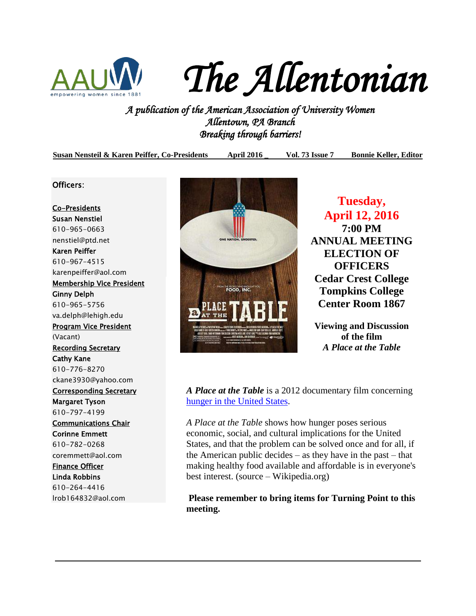

*The Allentonian* 

*A publication of the American Association of University Women Allentown, PA Branch Breaking through barriers!* 

**Susan Nensteil & Karen Peiffer, Co-Presidents April 2016 \_ Vol. 73 Issue 7 Bonnie Keller, Editor**

Officers:

Co-Presidents Susan Nenstiel 610-965-0663 [nenstiel@ptd.net](mailto:nenstiel@ptd.net) Karen Peiffer 610-967-4515 [karenpeiffer@aol.com](mailto:karenpeiffer@aol.com) Membership Vice President Ginny Delph 610-965-5756 va.delph@lehigh.edu Program Vice President (Vacant) Recording Secretary Cathy Kane 610-776-8270 [ckane3930@yahoo.com](mailto:ckane3930@yahoo.com) Corresponding Secretary Margaret Tyson 610-797-4199 Communications Chair Corinne Emmett 610-782-0268 coremmett@aol.com Finance Officer Linda Robbins 610-264-4416 lrob164832@aol.com



**Tuesday, April 12, 2016 7:00 PM ANNUAL MEETING ELECTION OF OFFICERS Cedar Crest College Tompkins College Center Room 1867**

**Viewing and Discussion of the film** *A Place at the Table*

*A Place at the Table* is a 2012 documentary film concerning [hunger in the United States.](https://en.wikipedia.org/wiki/Hunger_in_the_United_States)

*A Place at the Table* shows how hunger poses serious economic, social, and cultural implications for the United States, and that the problem can be solved once and for all, if the American public decides – as they have in the past – that making healthy food available and affordable is in everyone's best interest. (source – Wikipedia.org)

**Please remember to bring items for Turning Point to this meeting.**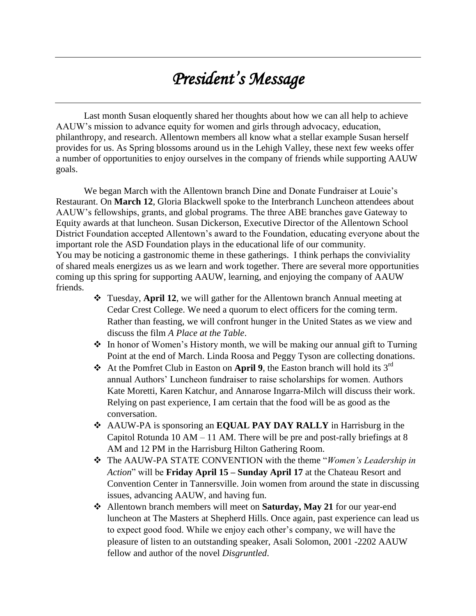# *President's Message*

Last month Susan eloquently shared her thoughts about how we can all help to achieve AAUW's mission to advance equity for women and girls through advocacy, education, philanthropy, and research. Allentown members all know what a stellar example Susan herself provides for us. As Spring blossoms around us in the Lehigh Valley, these next few weeks offer a number of opportunities to enjoy ourselves in the company of friends while supporting AAUW goals.

We began March with the Allentown branch Dine and Donate Fundraiser at Louie's Restaurant. On **March 12**, Gloria Blackwell spoke to the Interbranch Luncheon attendees about AAUW's fellowships, grants, and global programs. The three ABE branches gave Gateway to Equity awards at that luncheon. Susan Dickerson, Executive Director of the Allentown School District Foundation accepted Allentown's award to the Foundation, educating everyone about the important role the ASD Foundation plays in the educational life of our community. You may be noticing a gastronomic theme in these gatherings. I think perhaps the conviviality of shared meals energizes us as we learn and work together. There are several more opportunities coming up this spring for supporting AAUW, learning, and enjoying the company of AAUW friends.

- Tuesday, **April 12**, we will gather for the Allentown branch Annual meeting at Cedar Crest College. We need a quorum to elect officers for the coming term. Rather than feasting, we will confront hunger in the United States as we view and discuss the film *A Place at the Table*.
- In honor of Women's History month, we will be making our annual gift to Turning Point at the end of March. Linda Roosa and Peggy Tyson are collecting donations.
- At the Pomfret Club in Easton on **April 9**, the Easton branch will hold its 3rd annual Authors' Luncheon fundraiser to raise scholarships for women. Authors Kate Moretti, Karen Katchur, and Annarose Ingarra-Milch will discuss their work. Relying on past experience, I am certain that the food will be as good as the conversation.
- AAUW-PA is sponsoring an **EQUAL PAY DAY RALLY** in Harrisburg in the Capitol Rotunda 10 AM – 11 AM. There will be pre and post-rally briefings at 8 AM and 12 PM in the Harrisburg Hilton Gathering Room.
- The AAUW-PA STATE CONVENTION with the theme "*Women's Leadership in Action*" will be **Friday April 15 – Sunday April 17** at the Chateau Resort and Convention Center in Tannersville. Join women from around the state in discussing issues, advancing AAUW, and having fun.
- Allentown branch members will meet on **Saturday, May 21** for our year-end luncheon at The Masters at Shepherd Hills. Once again, past experience can lead us to expect good food. While we enjoy each other's company, we will have the pleasure of listen to an outstanding speaker, Asali Solomon, 2001 -2202 AAUW fellow and author of the novel *Disgruntled*.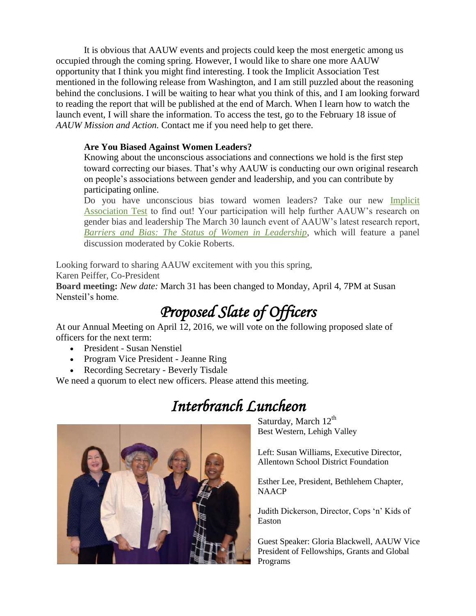It is obvious that AAUW events and projects could keep the most energetic among us occupied through the coming spring. However, I would like to share one more AAUW opportunity that I think you might find interesting. I took the Implicit Association Test mentioned in the following release from Washington, and I am still puzzled about the reasoning behind the conclusions. I will be waiting to hear what you think of this, and I am looking forward to reading the report that will be published at the end of March. When I learn how to watch the launch event, I will share the information. To access the test, go to the February 18 issue of *AAUW Mission and Action.* Contact me if you need help to get there.

#### **Are You Biased Against Women Leaders?**

Knowing about the unconscious associations and connections we hold is the first step toward correcting our biases. That's why AAUW is conducting our own original research on people's associations between gender and leadership, and you can contribute by participating online.

Do you have unconscious bias toward women leaders? Take our new *Implicit* [Association Test](http://salsa4.salsalabs.com/dia/track.jsp?v=2&c=vPTn3oqCHaVvTK7YoIsZWLkYdiCql%2FNh) to find out! Your participation will help further AAUW's research on gender bias and leadership The March 30 launch event of AAUW's latest research report, *[Barriers and Bias: The Status of Women in Leadership](http://salsa4.salsalabs.com/dia/track.jsp?v=2&c=WXdzVEmgrOegp%2Bb7ESBavrkYdiCql%2FNh)*, which will feature a panel discussion moderated by Cokie Roberts.

Looking forward to sharing AAUW excitement with you this spring,

Karen Peiffer, Co-President

**Board meeting:** *New date:* March 31 has been changed to Monday, April 4, 7PM at Susan Nensteil's home.

# *Proposed Slate of Officers*

At our Annual Meeting on April  $\overline{12}$ , 2016, we will vote on the following proposed slate of officers for the next term:

- President Susan Nenstiel
- Program Vice President Jeanne Ring
- Recording Secretary Beverly Tisdale

We need a quorum to elect new officers. Please attend this meeting.

# *Interbranch Luncheon*



Saturday, March  $12<sup>th</sup>$ Best Western, Lehigh Valley

Left: Susan Williams, Executive Director, Allentown School District Foundation

Esther Lee, President, Bethlehem Chapter, NAACP

Judith Dickerson, Director, Cops 'n' Kids of Easton

Guest Speaker: Gloria Blackwell, AAUW Vice President of Fellowships, Grants and Global Programs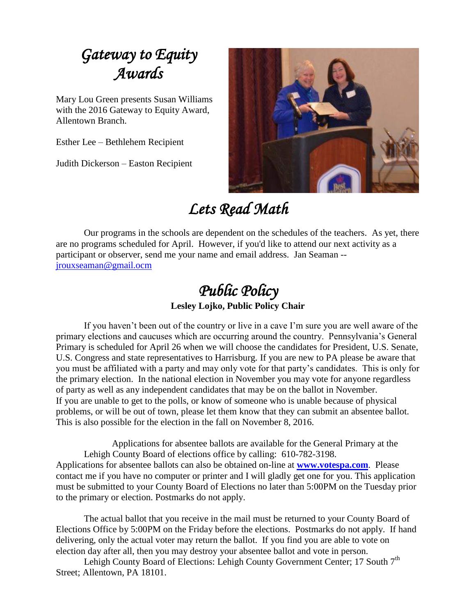# *Gateway to Equity Awards*

Mary Lou Green presents Susan Williams with the 2016 Gateway to Equity Award, Allentown Branch.

Esther Lee – Bethlehem Recipient

Judith Dickerson – Easton Recipient



# *Lets Read Math*

Our programs in the schools are dependent on the schedules of the teachers. As yet, there are no programs scheduled for April. However, if you'd like to attend our next activity as a participant or observer, send me your name and email address. Jan Seaman - [jrouxseaman@gmail.ocm](mailto:jrouxseaman@gmail.ocm)

# *Public Policy*

**Lesley Lojko, Public Policy Chair**

If you haven't been out of the country or live in a cave I'm sure you are well aware of the primary elections and caucuses which are occurring around the country. Pennsylvania's General Primary is scheduled for April 26 when we will choose the candidates for President, U.S. Senate, U.S. Congress and state representatives to Harrisburg. If you are new to PA please be aware that you must be affiliated with a party and may only vote for that party's candidates. This is only for the primary election. In the national election in November you may vote for anyone regardless of party as well as any independent candidates that may be on the ballot in November. If you are unable to get to the polls, or know of someone who is unable because of physical problems, or will be out of town, please let them know that they can submit an absentee ballot. This is also possible for the election in the fall on November 8, 2016.

Applications for absentee ballots are available for the General Primary at the Lehigh County Board of elections office by calling: 610-782-3198. Applications for absentee ballots can also be obtained on-line at **[www.votespa.com](http://www.votespa.com/)**. Please contact me if you have no computer or printer and I will gladly get one for you. This application must be submitted to your County Board of Elections no later than 5:00PM on the Tuesday prior to the primary or election. Postmarks do not apply.

The actual ballot that you receive in the mail must be returned to your County Board of Elections Office by 5:00PM on the Friday before the elections. Postmarks do not apply. If hand delivering, only the actual voter may return the ballot. If you find you are able to vote on election day after all, then you may destroy your absentee ballot and vote in person.

Lehigh County Board of Elections: Lehigh County Government Center; 17 South 7<sup>th</sup> Street; Allentown, PA 18101.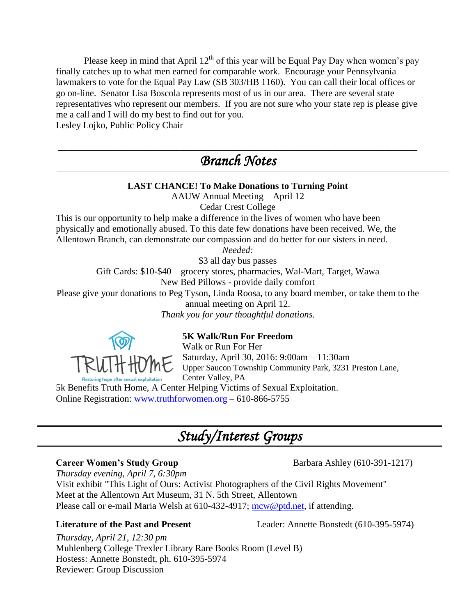Please keep in mind that April  $12<sup>th</sup>$  of this year will be Equal Pay Day when women's pay finally catches up to what men earned for comparable work. Encourage your Pennsylvania lawmakers to vote for the Equal Pay Law (SB 303/HB 1160). You can call their local offices or go on-line. Senator Lisa Boscola represents most of us in our area. There are several state representatives who represent our members. If you are not sure who your state rep is please give me a call and I will do my best to find out for you.

Lesley Lojko, Public Policy Chair

## \_\_\_\_\_\_\_\_\_\_\_\_\_\_\_\_\_\_\_\_\_\_\_\_\_\_\_\_\_\_\_\_\_\_\_\_\_\_\_\_\_\_\_\_\_\_\_\_\_\_\_\_\_\_\_\_\_\_\_\_\_\_\_\_\_\_\_\_\_\_\_\_\_\_\_\_\_ *Branch Notes*

### **LAST CHANCE! To Make Donations to Turning Point** AAUW Annual Meeting – April 12 Cedar Crest College This is our opportunity to help make a difference in the lives of women who have been physically and emotionally abused. To this date few donations have been received. We, the Allentown Branch, can demonstrate our compassion and do better for our sisters in need. *Needed:* \$3 all day bus passes Gift Cards: \$10-\$40 – grocery stores, pharmacies, Wal-Mart, Target, Wawa New Bed Pillows - provide daily comfort Please give your donations to Peg Tyson, Linda Roosa, to any board member, or take them to the annual meeting on April 12. *Thank you for your thoughtful donations.* **5K Walk/Run For Freedom** Walk or Run For Her

Saturday, April 30, 2016: 9:00am – 11:30am Upper Saucon Township Community Park, 3231 Preston Lane, Center Valley, PA

5k Benefits Truth Home, A Center Helping Victims of Sexual Exploitation. Online Registration: [www.truthforwomen.org](http://www.truthforwomen.org/) – 610-866-5755

## *Study/Interest Groups*

#### **Career Women's Study Group** Barbara Ashley (610-391-1217)

*Thursday evening, April 7, 6:30pm* Visit exhibit "This Light of Ours: Activist Photographers of the Civil Rights Movement" Meet at the Allentown Art Museum, 31 N. 5th Street, Allentown Please call or e-mail Maria Welsh at 610-432-4917; [mcw@ptd.net,](mailto:mcw@ptd.net) if attending.

**Literature of the Past and Present** Leader: Annette Bonstedt (610-395-5974)

*Thursday, April 21, 12:30 pm* Muhlenberg College Trexler Library Rare Books Room (Level B) Hostess: Annette Bonstedt, ph. 610-395-5974 Reviewer: Group Discussion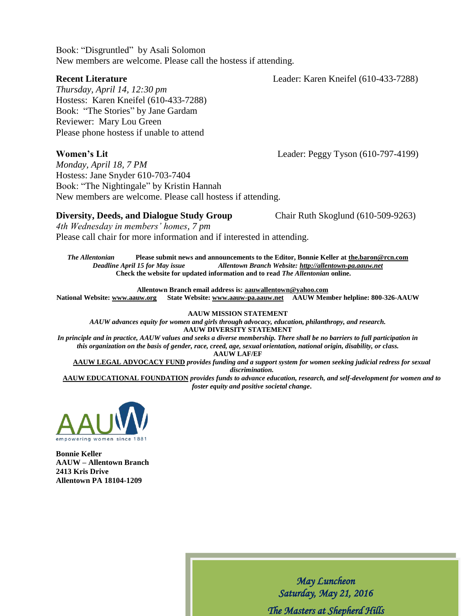Book: "Disgruntled" by Asali Solomon New members are welcome. Please call the hostess if attending.

**Recent Literature** Leader: Karen Kneifel (610-433-7288)

*Thursday, April 14, 12:30 pm* Hostess: Karen Kneifel (610-433-7288) Book: "The Stories" by Jane Gardam Reviewer: Mary Lou Green Please phone hostess if unable to attend

#### **Women's Lit** Leader: Peggy Tyson (610-797-4199)

*Monday, April 18, 7 PM* Hostess: Jane Snyder 610-703-7404 Book: "The Nightingale" by Kristin Hannah New members are welcome. Please call hostess if attending.

#### **Diversity, Deeds, and Dialogue Study Group** Chair Ruth Skoglund (610-509-9263)

*4th Wednesday in members' homes, 7 pm*  Please call chair for more information and if interested in attending.

*The Allentonian* **Please submit news and announcements to the Editor, Bonnie Keller at the.baron@rcn.com** *Deadline April 15 for May issue Allentown Branch Website[: http://allentown-pa.aauw.net](http://allentown-pa.aauw.net/)* **Check the website for updated information and to read** *The Allentonian* **online.** 

**Allentown Branch email address is: [aauwallentown@yahoo.com](mailto:aauwallentown@yahoo.com)**

**National Website: [www.aauw.org](http://www.aauw.org/) State Website: www.aauw-pa.aauw.net AAUW Member helpline: 800-326-AAUW**

**AAUW MISSION STATEMENT**

*AAUW advances equity for women and girls through advocacy, education, philanthropy, and research.* **AAUW DIVERSITY STATEMENT**

*In principle and in practice, AAUW values and seeks a diverse membership. There shall be no barriers to full participation in this organization on the basis of gender, race, creed, age, sexual orientation, national origin, disability, or class.*

**AAUW LAF/EF**

**AAUW LEGAL ADVOCACY FUND** *provides funding and a support system for women seeking judicial redress for sexual discrimination.*

**AAUW EDUCATIONAL FOUNDATION** *provides funds to advance education, research, and self-development for women and to foster equity and positive societal change***.**



**Bonnie Keller AAUW – Allentown Branch 2413 Kris Drive Allentown PA 18104-1209**

> *May Luncheon Saturday, May 21, 2016 The Masters at Shepherd Hills*